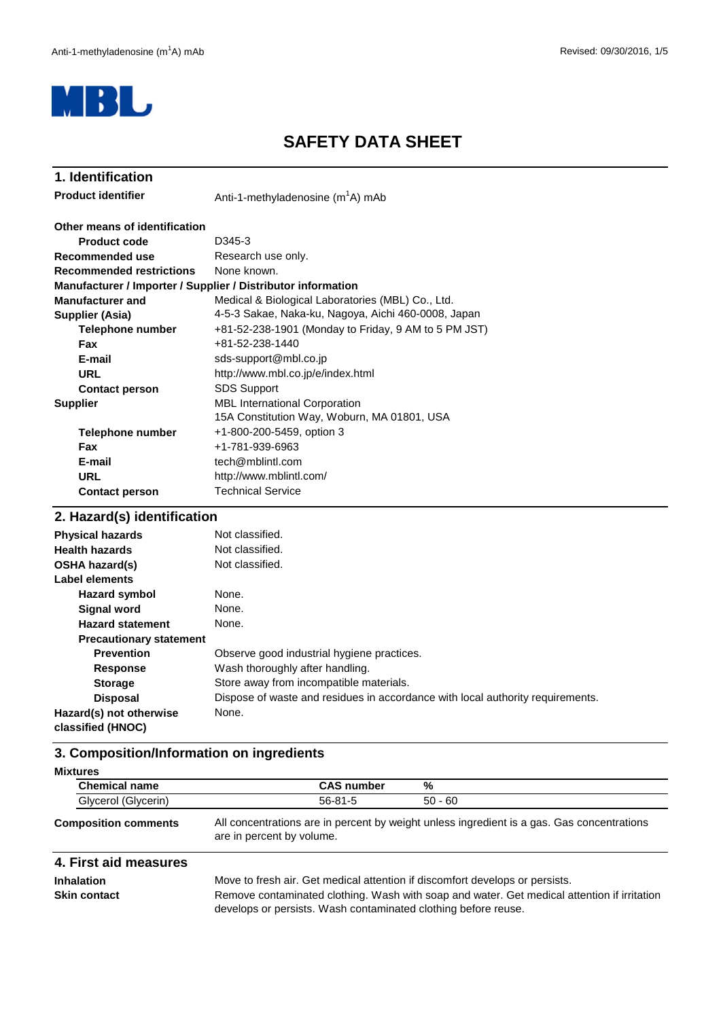

# **SAFETY DATA SHEET**

#### Anti-1-methyladenosine (m<sup>1</sup>A) mAb **Product code** D345-3 Research use only. None known. **Telephone number Fax E-mail URL Contact person Telephone number Fax E-mail URL Contact person 1. Identification** sds-support@mbl.co.jp **Recommended use Product identifier Other means of identification Recommended restrictions Manufacturer / Importer / Supplier / Distributor information Manufacturer and Supplier (Asia)** Medical & Biological Laboratories (MBL) Co., Ltd. 4-5-3 Sakae, Naka-ku, Nagoya, Aichi 460-0008, Japan +81-52-238-1901 (Monday to Friday, 9 AM to 5 PM JST) +81-52-238-1440 http://www.mbl.co.jp/e/index.html **Supplier** Technical Service SDS Support tech@mblintl.com http://www.mblintl.com/ MBL International Corporation 15A Constitution Way, Woburn, MA 01801, USA +1-800-200-5459, option 3 +1-781-939-6963

#### **2. Hazard(s) identification**

| <b>Physical hazards</b>                      | Not classified.                                                                |
|----------------------------------------------|--------------------------------------------------------------------------------|
| <b>Health hazards</b>                        | Not classified.                                                                |
| <b>OSHA hazard(s)</b>                        | Not classified.                                                                |
| Label elements                               |                                                                                |
| <b>Hazard symbol</b>                         | None.                                                                          |
| <b>Signal word</b>                           | None.                                                                          |
| <b>Hazard statement</b>                      | None.                                                                          |
| <b>Precautionary statement</b>               |                                                                                |
| <b>Prevention</b>                            | Observe good industrial hygiene practices.                                     |
| <b>Response</b>                              | Wash thoroughly after handling.                                                |
| <b>Storage</b>                               | Store away from incompatible materials.                                        |
| <b>Disposal</b>                              | Dispose of waste and residues in accordance with local authority requirements. |
| Hazard(s) not otherwise<br>classified (HNOC) | None.                                                                          |

# **3. Composition/Information on ingredients**

| <b>Chemical name</b> | <b>CAS number</b> | %         |  |
|----------------------|-------------------|-----------|--|
| Glycerol (Glycerin)  | $56 - 81 - 5$     | $50 - 60$ |  |

**Composition comments**

All concentrations are in percent by weight unless ingredient is a gas. Gas concentrations are in percent by volume.

#### **4. First aid measures**

**Inhalation** Move to fresh air. Get medical attention if discomfort develops or persists. **Skin contact** Remove contaminated clothing. Wash with soap and water. Get medical attention if irritation develops or persists. Wash contaminated clothing before reuse.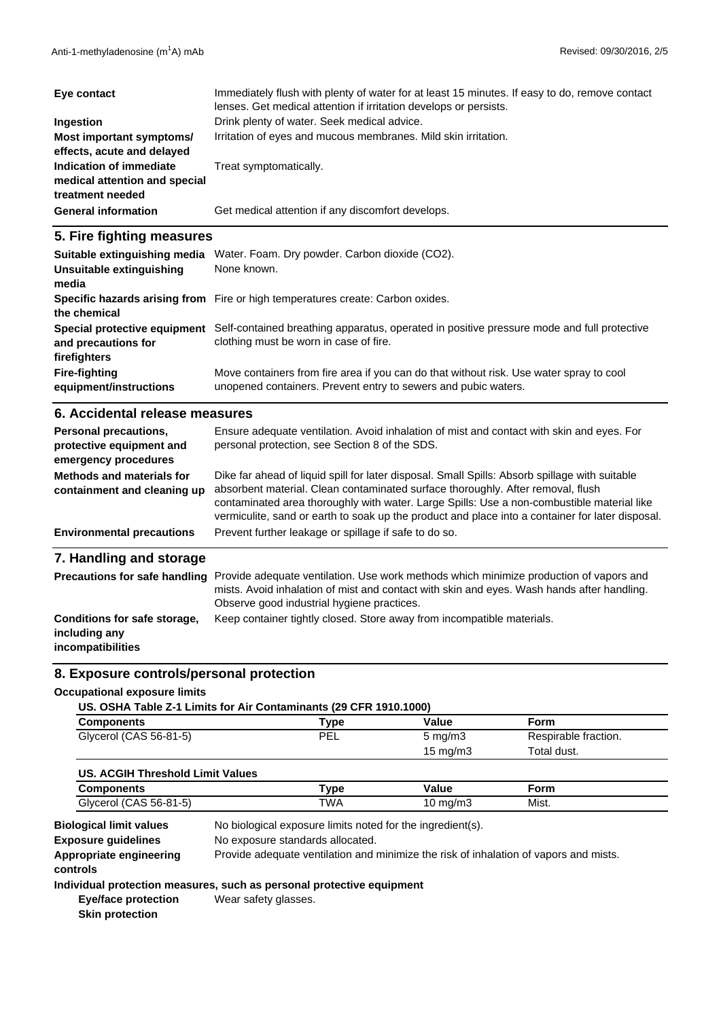| Eye contact                                                                  | Immediately flush with plenty of water for at least 15 minutes. If easy to do, remove contact<br>lenses. Get medical attention if irritation develops or persists. |
|------------------------------------------------------------------------------|--------------------------------------------------------------------------------------------------------------------------------------------------------------------|
| Ingestion                                                                    | Drink plenty of water. Seek medical advice.                                                                                                                        |
| Most important symptoms/<br>effects, acute and delayed                       | Irritation of eyes and mucous membranes. Mild skin irritation.                                                                                                     |
| Indication of immediate<br>medical attention and special<br>treatment needed | Treat symptomatically.                                                                                                                                             |
| <b>General information</b>                                                   | Get medical attention if any discomfort develops.                                                                                                                  |

### **5. Fire fighting measures**

| Suitable extinguishing media<br>Unsuitable extinguishing<br>media | Water. Foam. Dry powder. Carbon dioxide (CO2).<br>None known.                                                                                             |
|-------------------------------------------------------------------|-----------------------------------------------------------------------------------------------------------------------------------------------------------|
| the chemical                                                      | Specific hazards arising from Fire or high temperatures create: Carbon oxides.                                                                            |
| Special protective equipment<br>and precautions for               | Self-contained breathing apparatus, operated in positive pressure mode and full protective<br>clothing must be worn in case of fire.                      |
| firefighters                                                      |                                                                                                                                                           |
| <b>Fire-fighting</b><br>equipment/instructions                    | Move containers from fire area if you can do that without risk. Use water spray to cool<br>unopened containers. Prevent entry to sewers and pubic waters. |

#### **6. Accidental release measures**

| Personal precautions,<br>protective equipment and<br>emergency procedures | Ensure adequate ventilation. Avoid inhalation of mist and contact with skin and eyes. For<br>personal protection, see Section 8 of the SDS.                                                                                                                                                                                                                                         |
|---------------------------------------------------------------------------|-------------------------------------------------------------------------------------------------------------------------------------------------------------------------------------------------------------------------------------------------------------------------------------------------------------------------------------------------------------------------------------|
| Methods and materials for<br>containment and cleaning up                  | Dike far ahead of liquid spill for later disposal. Small Spills: Absorb spillage with suitable<br>absorbent material. Clean contaminated surface thoroughly. After removal, flush<br>contaminated area thoroughly with water. Large Spills: Use a non-combustible material like<br>vermiculite, sand or earth to soak up the product and place into a container for later disposal. |
| <b>Environmental precautions</b>                                          | Prevent further leakage or spillage if safe to do so.                                                                                                                                                                                                                                                                                                                               |
| 7. Handling and storage                                                   |                                                                                                                                                                                                                                                                                                                                                                                     |
| <b>Precautions for safe handling</b>                                      | Provide adequate ventilation. Use work methods which minimize production of vapors and<br>mists. Avoid inhalation of mist and contact with skin and eyes. Wash hands after handling.                                                                                                                                                                                                |

Observe good industrial hygiene practices.

# **Conditions for safe storage, including any**

**incompatibilities**

# **8. Exposure controls/personal protection**

#### **Occupational exposure limits**

| US. OSHA Table Z-1 Limits for Air Contaminants (29 CFR 1910.1000) |  |
|-------------------------------------------------------------------|--|
|                                                                   |  |

| <b>Components</b>      | Type | Value               | Form                 |  |
|------------------------|------|---------------------|----------------------|--|
| Glycerol (CAS 56-81-5) | PEL  | $5 \,\mathrm{mq/m}$ | Respirable fraction. |  |
|                        |      | 15 mg/m $3$         | Total dust.          |  |

Keep container tightly closed. Store away from incompatible materials.

| US. ACGIH Threshold Limit Values |                 |          |       |  |
|----------------------------------|-----------------|----------|-------|--|
| Components                       | $\mathsf{Type}$ | Value    | Form  |  |
| Glycerol (CAS 56-81-5)           | TWA             | 10 mg/m3 | Mist. |  |

**Exposure guidelines** No biological exposure limits noted for the ingredient(s). **Biological limit values** No exposure standards allocated. **Appropriate engineering** Provide adequate ventilation and minimize the risk of inhalation of vapors and mists. **controls**

### **Individual protection measures, such as personal protective equipment**

**Eye/face protection Skin protection**

Wear safety glasses.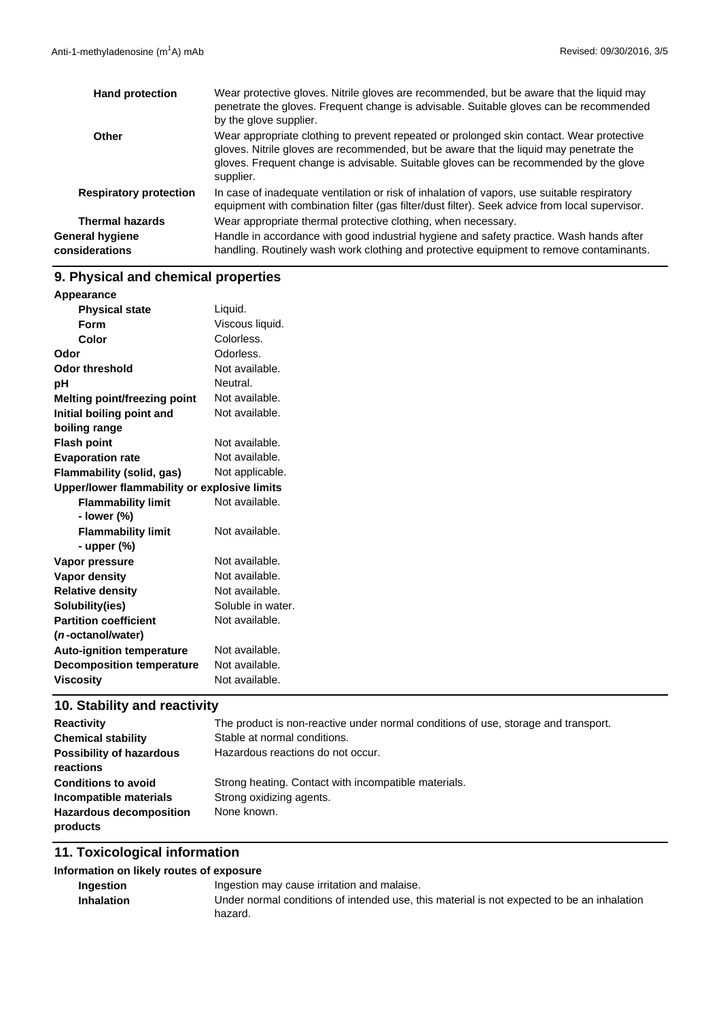| <b>Hand protection</b>            | Wear protective gloves. Nitrile gloves are recommended, but be aware that the liquid may<br>penetrate the gloves. Frequent change is advisable. Suitable gloves can be recommended<br>by the glove supplier.                                                                             |
|-----------------------------------|------------------------------------------------------------------------------------------------------------------------------------------------------------------------------------------------------------------------------------------------------------------------------------------|
| Other                             | Wear appropriate clothing to prevent repeated or prolonged skin contact. Wear protective<br>gloves. Nitrile gloves are recommended, but be aware that the liquid may penetrate the<br>gloves. Frequent change is advisable. Suitable gloves can be recommended by the glove<br>supplier. |
| <b>Respiratory protection</b>     | In case of inadequate ventilation or risk of inhalation of vapors, use suitable respiratory<br>equipment with combination filter (gas filter/dust filter). Seek advice from local supervisor.                                                                                            |
| <b>Thermal hazards</b>            | Wear appropriate thermal protective clothing, when necessary.                                                                                                                                                                                                                            |
| General hygiene<br>considerations | Handle in accordance with good industrial hygiene and safety practice. Wash hands after<br>handling. Routinely wash work clothing and protective equipment to remove contaminants.                                                                                                       |

# **9. Physical and chemical properties**

| Liquid.<br><b>Physical state</b><br>Viscous liquid.<br>Form<br>Colorless.<br>Color<br>Odorless.<br>Not available.<br>Neutral.<br>Not available.<br>Not available.<br>Not available.<br>Not available.<br>Not applicable.<br>Upper/lower flammability or explosive limits<br><b>Flammability limit</b><br>Not available.<br>- lower (%)<br>Not available.<br><b>Flammability limit</b><br>- upper $(\%)$<br>Not available.<br>Not available.<br>Not available.<br>Soluble in water.<br>Not available.<br>Not available.<br>Not available.<br>Not available. | Appearance                       |  |
|------------------------------------------------------------------------------------------------------------------------------------------------------------------------------------------------------------------------------------------------------------------------------------------------------------------------------------------------------------------------------------------------------------------------------------------------------------------------------------------------------------------------------------------------------------|----------------------------------|--|
|                                                                                                                                                                                                                                                                                                                                                                                                                                                                                                                                                            |                                  |  |
|                                                                                                                                                                                                                                                                                                                                                                                                                                                                                                                                                            |                                  |  |
|                                                                                                                                                                                                                                                                                                                                                                                                                                                                                                                                                            |                                  |  |
|                                                                                                                                                                                                                                                                                                                                                                                                                                                                                                                                                            | Odor                             |  |
|                                                                                                                                                                                                                                                                                                                                                                                                                                                                                                                                                            | <b>Odor threshold</b>            |  |
|                                                                                                                                                                                                                                                                                                                                                                                                                                                                                                                                                            | pH                               |  |
|                                                                                                                                                                                                                                                                                                                                                                                                                                                                                                                                                            | Melting point/freezing point     |  |
|                                                                                                                                                                                                                                                                                                                                                                                                                                                                                                                                                            | Initial boiling point and        |  |
|                                                                                                                                                                                                                                                                                                                                                                                                                                                                                                                                                            | boiling range                    |  |
|                                                                                                                                                                                                                                                                                                                                                                                                                                                                                                                                                            | <b>Flash point</b>               |  |
|                                                                                                                                                                                                                                                                                                                                                                                                                                                                                                                                                            | <b>Evaporation rate</b>          |  |
|                                                                                                                                                                                                                                                                                                                                                                                                                                                                                                                                                            | Flammability (solid, gas)        |  |
|                                                                                                                                                                                                                                                                                                                                                                                                                                                                                                                                                            |                                  |  |
|                                                                                                                                                                                                                                                                                                                                                                                                                                                                                                                                                            |                                  |  |
|                                                                                                                                                                                                                                                                                                                                                                                                                                                                                                                                                            |                                  |  |
|                                                                                                                                                                                                                                                                                                                                                                                                                                                                                                                                                            |                                  |  |
|                                                                                                                                                                                                                                                                                                                                                                                                                                                                                                                                                            |                                  |  |
|                                                                                                                                                                                                                                                                                                                                                                                                                                                                                                                                                            | Vapor pressure                   |  |
|                                                                                                                                                                                                                                                                                                                                                                                                                                                                                                                                                            | <b>Vapor density</b>             |  |
|                                                                                                                                                                                                                                                                                                                                                                                                                                                                                                                                                            | <b>Relative density</b>          |  |
|                                                                                                                                                                                                                                                                                                                                                                                                                                                                                                                                                            | Solubility(ies)                  |  |
|                                                                                                                                                                                                                                                                                                                                                                                                                                                                                                                                                            | <b>Partition coefficient</b>     |  |
|                                                                                                                                                                                                                                                                                                                                                                                                                                                                                                                                                            | ( <i>n</i> -octanol/water)       |  |
|                                                                                                                                                                                                                                                                                                                                                                                                                                                                                                                                                            | <b>Auto-ignition temperature</b> |  |
|                                                                                                                                                                                                                                                                                                                                                                                                                                                                                                                                                            | <b>Decomposition temperature</b> |  |
|                                                                                                                                                                                                                                                                                                                                                                                                                                                                                                                                                            | <b>Viscosity</b>                 |  |

# **10. Stability and reactivity**

| <b>Reactivity</b>               | The product is non-reactive under normal conditions of use, storage and transport. |
|---------------------------------|------------------------------------------------------------------------------------|
| <b>Chemical stability</b>       | Stable at normal conditions.                                                       |
| <b>Possibility of hazardous</b> | Hazardous reactions do not occur.                                                  |
| reactions                       |                                                                                    |
| <b>Conditions to avoid</b>      | Strong heating. Contact with incompatible materials.                               |
| Incompatible materials          | Strong oxidizing agents.                                                           |
| <b>Hazardous decomposition</b>  | None known.                                                                        |
| products                        |                                                                                    |

# **11. Toxicological information**

## **Information on likely routes of exposure**

| Ingestion         | Ingestion may cause irritation and malaise.                                                |
|-------------------|--------------------------------------------------------------------------------------------|
| <b>Inhalation</b> | Under normal conditions of intended use, this material is not expected to be an inhalation |
|                   | hazard.                                                                                    |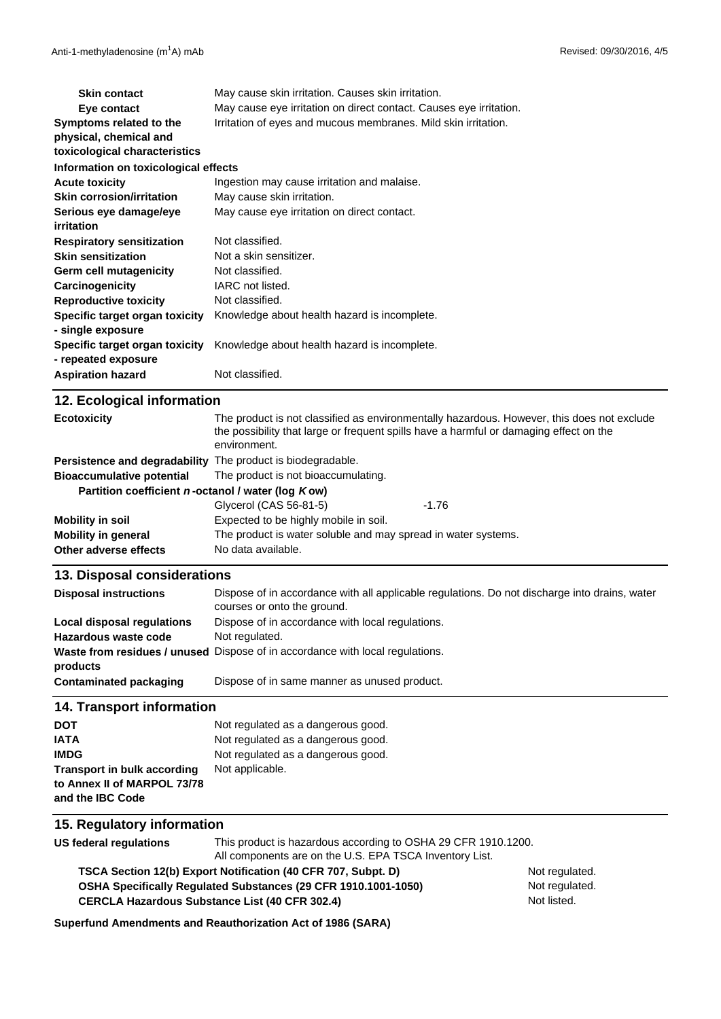| <b>Skin contact</b>                  | May cause skin irritation. Causes skin irritation.                 |  |
|--------------------------------------|--------------------------------------------------------------------|--|
| Eye contact                          | May cause eye irritation on direct contact. Causes eye irritation. |  |
| Symptoms related to the              | Irritation of eyes and mucous membranes. Mild skin irritation.     |  |
| physical, chemical and               |                                                                    |  |
| toxicological characteristics        |                                                                    |  |
| Information on toxicological effects |                                                                    |  |
| <b>Acute toxicity</b>                | Ingestion may cause irritation and malaise.                        |  |
| <b>Skin corrosion/irritation</b>     | May cause skin irritation.                                         |  |
| Serious eye damage/eye               | May cause eye irritation on direct contact.                        |  |
| irritation                           |                                                                    |  |
| <b>Respiratory sensitization</b>     | Not classified.                                                    |  |
| <b>Skin sensitization</b>            | Not a skin sensitizer.                                             |  |
| Germ cell mutagenicity               | Not classified.                                                    |  |
| Carcinogenicity                      | IARC not listed.                                                   |  |
| <b>Reproductive toxicity</b>         | Not classified.                                                    |  |
| Specific target organ toxicity       | Knowledge about health hazard is incomplete.                       |  |
| - single exposure                    |                                                                    |  |
| Specific target organ toxicity       | Knowledge about health hazard is incomplete.                       |  |
| - repeated exposure                  |                                                                    |  |
| <b>Aspiration hazard</b>             | Not classified.                                                    |  |
|                                      |                                                                    |  |

| 12. Ecological information                                         |                                                                                                                                                                                                      |         |
|--------------------------------------------------------------------|------------------------------------------------------------------------------------------------------------------------------------------------------------------------------------------------------|---------|
| <b>Ecotoxicity</b>                                                 | The product is not classified as environmentally hazardous. However, this does not exclude<br>the possibility that large or frequent spills have a harmful or damaging effect on the<br>environment. |         |
| <b>Persistence and degradability</b> The product is biodegradable. |                                                                                                                                                                                                      |         |
| <b>Bioaccumulative potential</b>                                   | The product is not bioaccumulating.                                                                                                                                                                  |         |
| Partition coefficient n-octanol / water (log Kow)                  |                                                                                                                                                                                                      |         |
|                                                                    | Glycerol (CAS 56-81-5)                                                                                                                                                                               | $-1.76$ |
| <b>Mobility in soil</b>                                            | Expected to be highly mobile in soil.                                                                                                                                                                |         |
| <b>Mobility in general</b>                                         | The product is water soluble and may spread in water systems.                                                                                                                                        |         |
| Other adverse effects                                              | No data available.                                                                                                                                                                                   |         |

#### **13. Disposal considerations**

| <b>Disposal instructions</b> | Dispose of in accordance with all applicable regulations. Do not discharge into drains, water<br>courses or onto the ground. |
|------------------------------|------------------------------------------------------------------------------------------------------------------------------|
| Local disposal regulations   | Dispose of in accordance with local regulations.                                                                             |
| Hazardous waste code         | Not regulated.                                                                                                               |
| products                     | <b>Waste from residues / unused</b> Dispose of in accordance with local regulations.                                         |
| Contaminated packaging       | Dispose of in same manner as unused product.                                                                                 |

# **14. Transport information**

| <b>DOT</b>                         | Not regulated as a dangerous good. |
|------------------------------------|------------------------------------|
| IATA                               | Not regulated as a dangerous good. |
| <b>IMDG</b>                        | Not regulated as a dangerous good. |
| <b>Transport in bulk according</b> | Not applicable.                    |
| to Annex II of MARPOL 73/78        |                                    |
| and the IBC Code                   |                                    |

#### **15. Regulatory information**

**US federal regulations** This product is hazardous according to OSHA 29 CFR 1910.1200. All components are on the U.S. EPA TSCA Inventory List.

**CERCLA Hazardous Substance List (40 CFR 302.4) OSHA Specifically Regulated Substances (29 CFR 1910.1001-1050) TSCA Section 12(b) Export Notification (40 CFR 707, Subpt. D)** Not regulated.

Not regulated. Not listed.

**Superfund Amendments and Reauthorization Act of 1986 (SARA)**